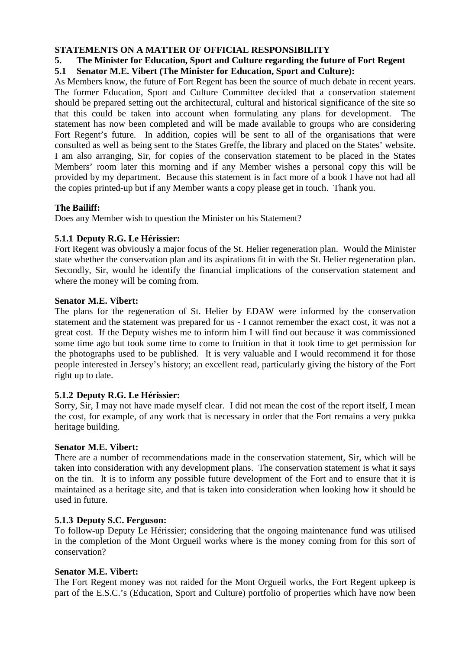## **STATEMENTS ON A MATTER OF OFFICIAL RESPONSIBILITY**

# **5. The Minister for Education, Sport and Culture regarding the future of Fort Regent**

## **5.1 Senator M.E. Vibert (The Minister for Education, Sport and Culture):**

As Members know, the future of Fort Regent has been the source of much debate in recent years. The former Education, Sport and Culture Committee decided that a conservation statement should be prepared setting out the architectural, cultural and historical significance of the site so that this could be taken into account when formulating any plans for development. The statement has now been completed and will be made available to groups who are considering Fort Regent's future. In addition, copies will be sent to all of the organisations that were consulted as well as being sent to the States Greffe, the library and placed on the States' website. I am also arranging, Sir, for copies of the conservation statement to be placed in the States Members' room later this morning and if any Member wishes a personal copy this will be provided by my department. Because this statement is in fact more of a book I have not had all the copies printed-up but if any Member wants a copy please get in touch. Thank you.

## **The Bailiff:**

Does any Member wish to question the Minister on his Statement?

## **5.1.1 Deputy R.G. Le Hérissier:**

Fort Regent was obviously a major focus of the St. Helier regeneration plan. Would the Minister state whether the conservation plan and its aspirations fit in with the St. Helier regeneration plan. Secondly, Sir, would he identify the financial implications of the conservation statement and where the money will be coming from.

### **Senator M.E. Vibert:**

The plans for the regeneration of St. Helier by EDAW were informed by the conservation statement and the statement was prepared for us - I cannot remember the exact cost, it was not a great cost. If the Deputy wishes me to inform him I will find out because it was commissioned some time ago but took some time to come to fruition in that it took time to get permission for the photographs used to be published. It is very valuable and I would recommend it for those people interested in Jersey's history; an excellent read, particularly giving the history of the Fort right up to date.

#### **5.1.2 Deputy R.G. Le Hérissier:**

Sorry, Sir, I may not have made myself clear. I did not mean the cost of the report itself, I mean the cost, for example, of any work that is necessary in order that the Fort remains a very pukka heritage building.

#### **Senator M.E. Vibert:**

There are a number of recommendations made in the conservation statement, Sir, which will be taken into consideration with any development plans. The conservation statement is what it says on the tin. It is to inform any possible future development of the Fort and to ensure that it is maintained as a heritage site, and that is taken into consideration when looking how it should be used in future.

#### **5.1.3 Deputy S.C. Ferguson:**

To follow-up Deputy Le Hérissier; considering that the ongoing maintenance fund was utilised in the completion of the Mont Orgueil works where is the money coming from for this sort of conservation?

#### **Senator M.E. Vibert:**

The Fort Regent money was not raided for the Mont Orgueil works, the Fort Regent upkeep is part of the E.S.C.'s (Education, Sport and Culture) portfolio of properties which have now been